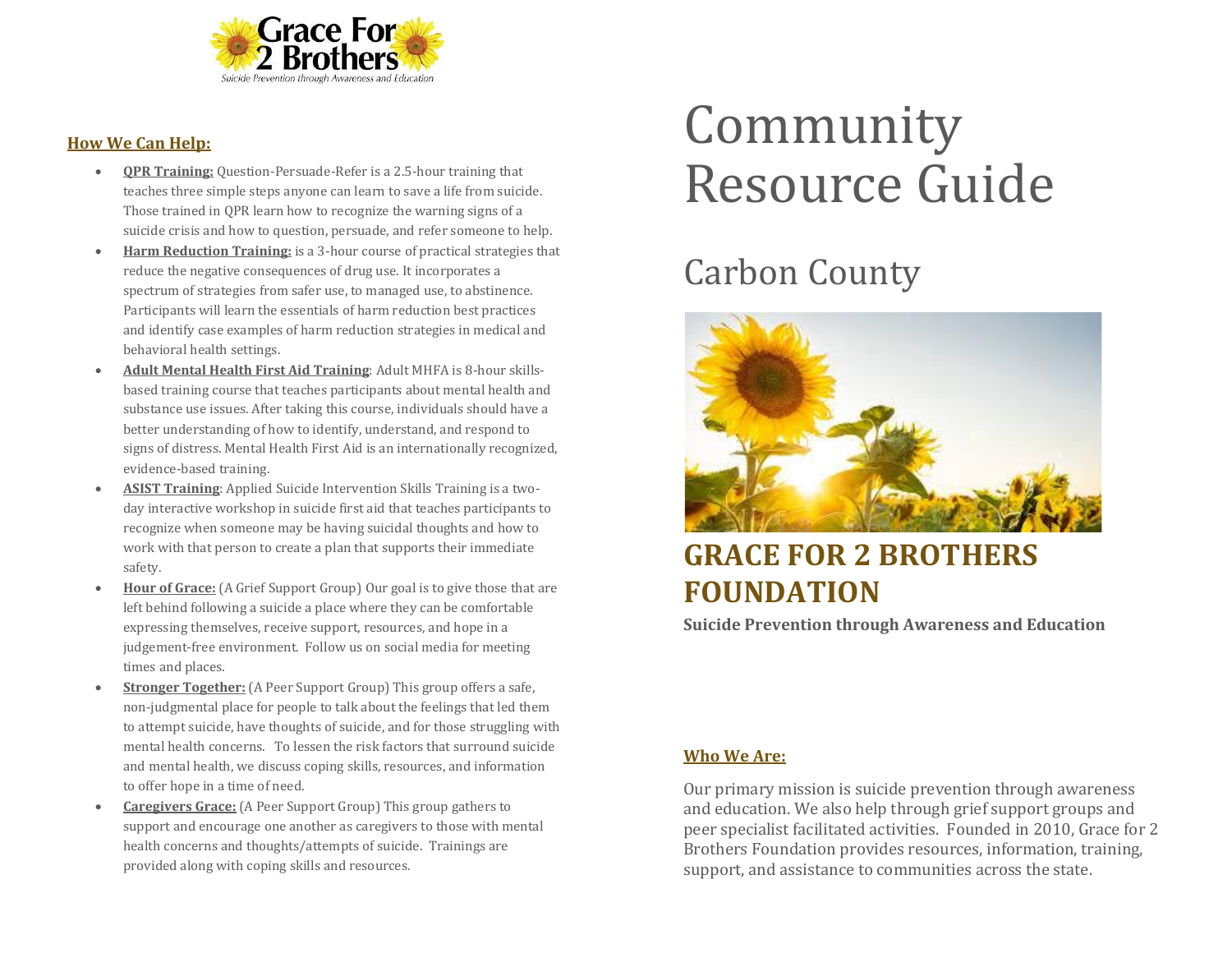

#### **How We Can Help:**

- **QPR Training:** Question-Persuade-Refer is a 2.5-hour training that teaches three simple steps anyone can learn to save a life from suicide. Those trained in QPR learn how to recognize the warning signs of a suicide crisis and how to question, persuade, and refer someone to help.
- **Harm Reduction Training:** is a 3-hour course of practical strategies that reduce the negative consequences of drug use. It incorporates a spectrum of strategies from safer use, to managed use, to abstinence. Participants will learn the essentials of harm reduction best practices and identify case examples of harm reduction strategies in medical and behavioral health settings.
- **Adult Mental Health First Aid Training**: Adult MHFA is 8-hour skillsbased training course that teaches participants about mental health and substance use issues. After taking this course, individuals should have a better understanding of how to identify, understand, and respond to signs of distress. Mental Health First Aid is an internationally recognized, evidence-based training.
- **ASIST Training**: Applied Suicide Intervention Skills Training is a twoday interactive workshop in suicide first aid that teaches participants to recognize when someone may be having suicidal thoughts and how to work with that person to create a plan that supports their immediate safety.
- **Hour of Grace:** (A Grief Support Group) Our goal is to give those that are left behind following a suicide a place where they can be comfortable expressing themselves, receive support, resources, and hope in a judgement-free environment. Follow us on social media for meeting times and places.
- **Stronger Together:** (A Peer Support Group) This group offers a safe, non-judgmental place for people to talk about the feelings that led them to attempt suicide, have thoughts of suicide, and for those struggling with mental health concerns. To lessen the risk factors that surround suicide and mental health, we discuss coping skills, resources, and information to offer hope in a time of need.
- **Caregivers Grace:** (A Peer Support Group) This group gathers to support and encourage one another as caregivers to those with mental health concerns and thoughts/attempts of suicide. Trainings are provided along with coping skills and resources.

# Community Resource Guide

## Carbon County



### **GRACE FOR 2 BROTHERS FOUNDATION**

**Suicide Prevention through Awareness and Education**

#### **Who We Are:**

Our primary mission is suicide prevention through awareness and education. We also help through grief support groups and peer specialist facilitated activities. Founded in 2010, Grace for 2 Brothers Foundation provides resources, information, training, support, and assistance to communities across the state.